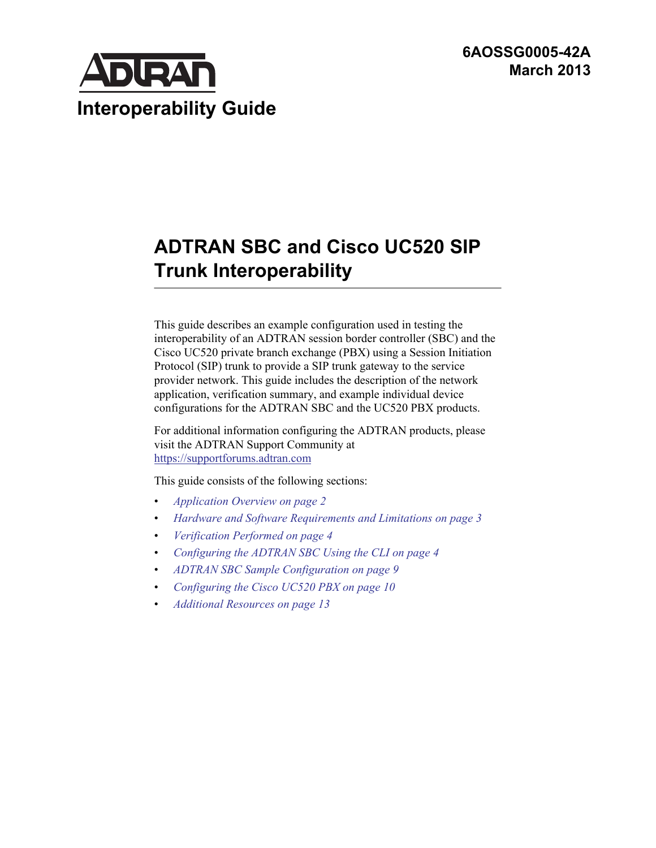**6AOSSG0005-42A March 2013**



# **ADTRAN SBC and Cisco UC520 SIP Trunk Interoperability**

This guide describes an example configuration used in testing the interoperability of an ADTRAN session border controller (SBC) and the Cisco UC520 private branch exchange (PBX) using a Session Initiation Protocol (SIP) trunk to provide a SIP trunk gateway to the service provider network. This guide includes the description of the network application, verification summary, and example individual device configurations for the ADTRAN SBC and the UC520 PBX products.

For additional information configuring the ADTRAN products, please visit the ADTRAN Support Community at <https://supportforums.adtran.com>

This guide consists of the following sections:

- *[Application Overview on page 2](#page-1-0)*
- *[Hardware and Software Requirements and Limitations on page 3](#page-2-0)*
- *[Verification Performed on page 4](#page-3-0)*
- *[Configuring the ADTRAN SBC Using the CLI on page 4](#page-3-1)*
- *[ADTRAN SBC Sample Configuration on page 9](#page-8-0)*
- *[Configuring the Cisco UC520 PBX on page 10](#page-9-0)*
- *[Additional Resources on page 13](#page-12-0)*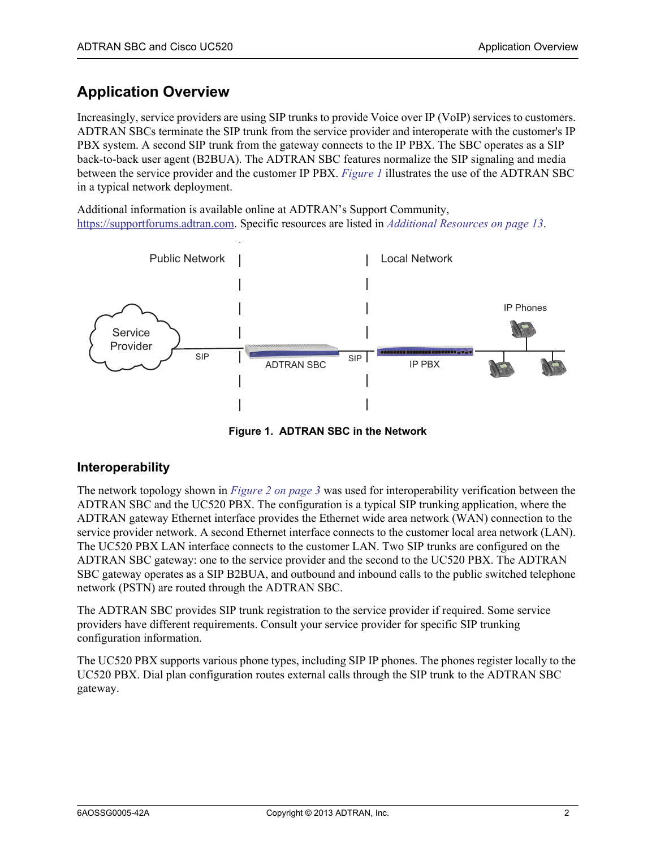# <span id="page-1-0"></span>**Application Overview**

Increasingly, service providers are using SIP trunks to provide Voice over IP (VoIP) services to customers. ADTRAN SBCs terminate the SIP trunk from the service provider and interoperate with the customer's IP PBX system. A second SIP trunk from the gateway connects to the IP PBX. The SBC operates as a SIP back-to-back user agent (B2BUA). The ADTRAN SBC features normalize the SIP signaling and media between the service provider and the customer IP PBX. *[Figure 1](#page-1-1)* illustrates the use of the ADTRAN SBC in a typical network deployment.

Additional information is available online at ADTRAN's Support Community, [https://supportforums.adtran.com.](https://supportforums.adtran.com) Specific resources are listed in *[Additional Resources on page 13](#page-12-0)*.



**Figure 1. ADTRAN SBC in the Network**

#### <span id="page-1-1"></span>**Interoperability**

The network topology shown in *[Figure 2 on page 3](#page-2-1)* was used for interoperability verification between the ADTRAN SBC and the UC520 PBX. The configuration is a typical SIP trunking application, where the ADTRAN gateway Ethernet interface provides the Ethernet wide area network (WAN) connection to the service provider network. A second Ethernet interface connects to the customer local area network (LAN). The UC520 PBX LAN interface connects to the customer LAN. Two SIP trunks are configured on the ADTRAN SBC gateway: one to the service provider and the second to the UC520 PBX. The ADTRAN SBC gateway operates as a SIP B2BUA, and outbound and inbound calls to the public switched telephone network (PSTN) are routed through the ADTRAN SBC.

The ADTRAN SBC provides SIP trunk registration to the service provider if required. Some service providers have different requirements. Consult your service provider for specific SIP trunking configuration information.

The UC520 PBX supports various phone types, including SIP IP phones. The phones register locally to the UC520 PBX. Dial plan configuration routes external calls through the SIP trunk to the ADTRAN SBC gateway.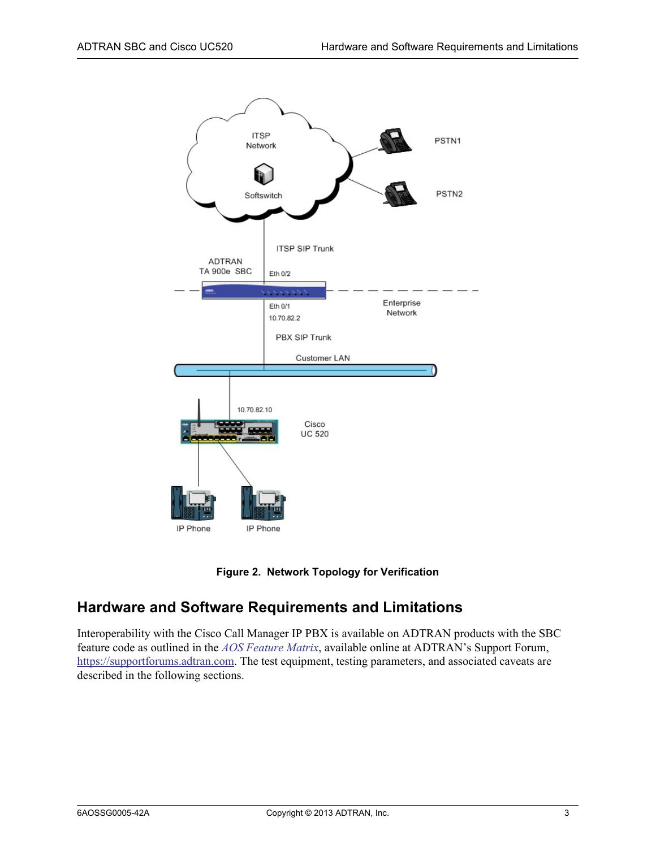



### <span id="page-2-1"></span><span id="page-2-0"></span>**Hardware and Software Requirements and Limitations**

Interoperability with the Cisco Call Manager IP PBX is available on ADTRAN products with the SBC feature code as outlined in the *[AOS Feature Matrix](https://supportforums.adtran.com/docs/DOC-1115)*, available online at ADTRAN's Support Forum, [https://supportforums.adtran.com.](https://supportforums.adtran.com) The test equipment, testing parameters, and associated caveats are described in the following sections.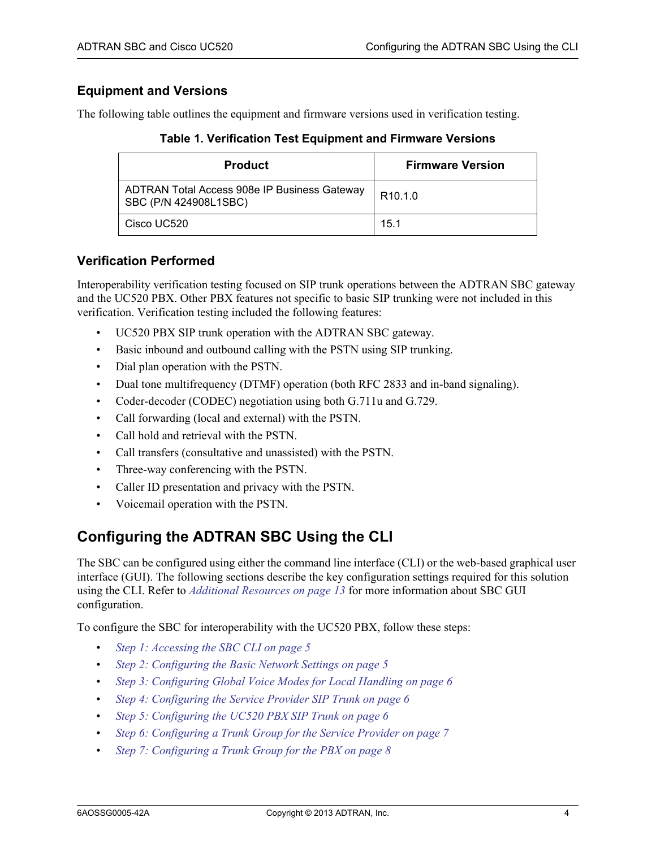#### **Equipment and Versions**

The following table outlines the equipment and firmware versions used in verification testing.

**Table 1. Verification Test Equipment and Firmware Versions**

| <b>Product</b>                                                        | <b>Firmware Version</b> |
|-----------------------------------------------------------------------|-------------------------|
| ADTRAN Total Access 908e IP Business Gateway<br>SBC (P/N 424908L1SBC) | R <sub>10.1.0</sub>     |
| Cisco UC520                                                           | 15.1                    |

#### <span id="page-3-0"></span>**Verification Performed**

Interoperability verification testing focused on SIP trunk operations between the ADTRAN SBC gateway and the UC520 PBX. Other PBX features not specific to basic SIP trunking were not included in this verification. Verification testing included the following features:

- UC520 PBX SIP trunk operation with the ADTRAN SBC gateway.
- Basic inbound and outbound calling with the PSTN using SIP trunking.
- Dial plan operation with the PSTN.
- Dual tone multifrequency (DTMF) operation (both RFC 2833 and in-band signaling).
- Coder-decoder (CODEC) negotiation using both G.711u and G.729.
- Call forwarding (local and external) with the PSTN.
- Call hold and retrieval with the PSTN.
- Call transfers (consultative and unassisted) with the PSTN.
- Three-way conferencing with the PSTN.
- Caller ID presentation and privacy with the PSTN.
- Voicemail operation with the PSTN.

### <span id="page-3-1"></span>**Configuring the ADTRAN SBC Using the CLI**

The SBC can be configured using either the command line interface (CLI) or the web-based graphical user interface (GUI). The following sections describe the key configuration settings required for this solution using the CLI. Refer to *[Additional Resources on page 13](#page-12-0)* for more information about SBC GUI configuration.

To configure the SBC for interoperability with the UC520 PBX, follow these steps:

- *[Step 1: Accessing the SBC CLI on page 5](#page-4-0)*
- *[Step 2: Configuring the Basic Network Settings on page 5](#page-4-1)*
- *[Step 3: Configuring Global Voice Modes for Local Handling on page 6](#page-5-0)*
- *[Step 4: Configuring the Service Provider SIP Trunk on page 6](#page-5-1)*
- *[Step 5: Configuring the UC520 PBX SIP Trunk on page 6](#page-5-2)*
- *[Step 6: Configuring a Trunk Group for the Service Provider on page 7](#page-6-0)*
- *[Step 7: Configuring a Trunk Group for the PBX on page 8](#page-7-0)*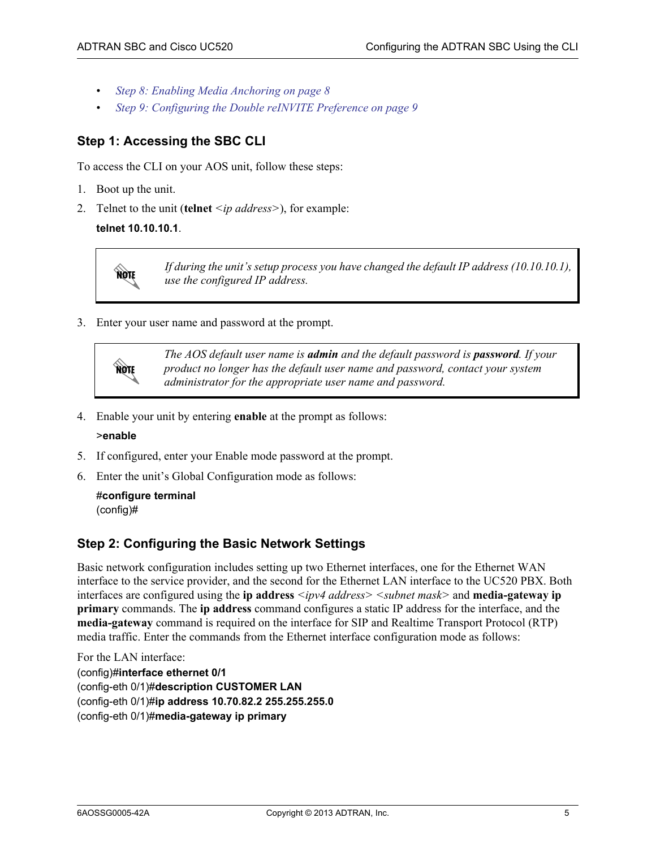- *[Step 8: Enabling Media Anchoring on page 8](#page-7-1)*
- *[Step 9: Configuring the Double reINVITE Preference on page 9](#page-8-1)*

### <span id="page-4-0"></span>**Step 1: Accessing the SBC CLI**

To access the CLI on your AOS unit, follow these steps:

- 1. Boot up the unit.
- 2. Telnet to the unit (**telnet** *<ip address>*), for example:

#### **telnet 10.10.10.1**.



*If during the unit's setup process you have changed the default IP address (10.10.10.1), use the configured IP address.*

3. Enter your user name and password at the prompt.



*The AOS default user name is admin and the default password is password. If your product no longer has the default user name and password, contact your system administrator for the appropriate user name and password.*

4. Enable your unit by entering **enable** at the prompt as follows:

#### >**enable**

- 5. If configured, enter your Enable mode password at the prompt.
- 6. Enter the unit's Global Configuration mode as follows:

```
#configure terminal
(config)#
```
#### <span id="page-4-1"></span>**Step 2: Configuring the Basic Network Settings**

Basic network configuration includes setting up two Ethernet interfaces, one for the Ethernet WAN interface to the service provider, and the second for the Ethernet LAN interface to the UC520 PBX. Both interfaces are configured using the **ip address** *<ipv4 address> <subnet mask>* and **media-gateway ip primary** commands. The **ip address** command configures a static IP address for the interface, and the **media-gateway** command is required on the interface for SIP and Realtime Transport Protocol (RTP) media traffic. Enter the commands from the Ethernet interface configuration mode as follows:

For the LAN interface:

(config)#**interface ethernet 0/1** (config-eth 0/1)#**description CUSTOMER LAN** (config-eth 0/1)#**ip address 10.70.82.2 255.255.255.0** (config-eth 0/1)#**media-gateway ip primary**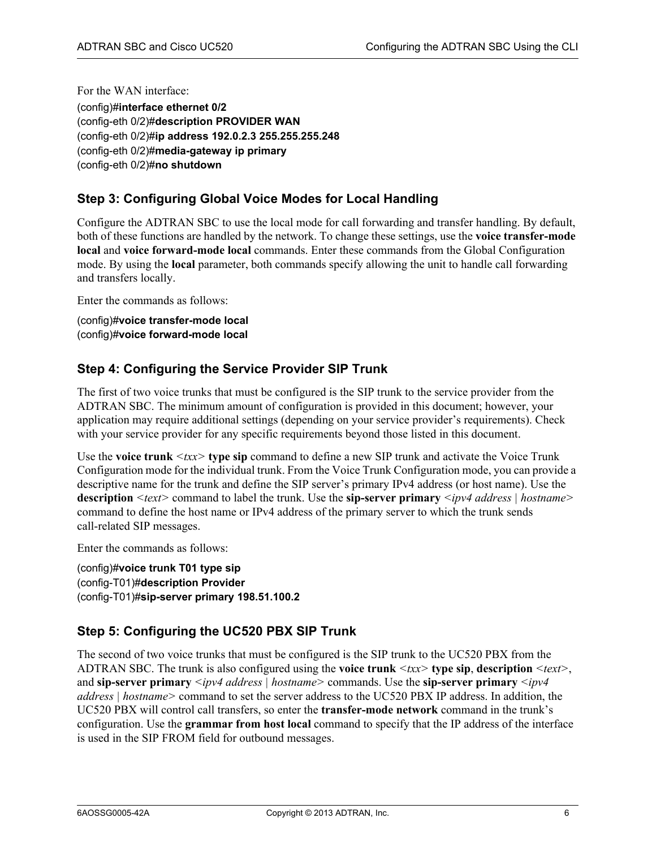For the WAN interface: (config)#**interface ethernet 0/2** (config-eth 0/2)#**description PROVIDER WAN** (config-eth 0/2)#**ip address 192.0.2.3 255.255.255.248** (config-eth 0/2)#**media-gateway ip primary** (config-eth 0/2)#**no shutdown**

### <span id="page-5-0"></span>**Step 3: Configuring Global Voice Modes for Local Handling**

Configure the ADTRAN SBC to use the local mode for call forwarding and transfer handling. By default, both of these functions are handled by the network. To change these settings, use the **voice transfer-mode local** and **voice forward-mode local** commands. Enter these commands from the Global Configuration mode. By using the **local** parameter, both commands specify allowing the unit to handle call forwarding and transfers locally.

Enter the commands as follows:

(config)#**voice transfer-mode local** (config)#**voice forward-mode local**

#### <span id="page-5-1"></span>**Step 4: Configuring the Service Provider SIP Trunk**

The first of two voice trunks that must be configured is the SIP trunk to the service provider from the ADTRAN SBC. The minimum amount of configuration is provided in this document; however, your application may require additional settings (depending on your service provider's requirements). Check with your service provider for any specific requirements beyond those listed in this document.

Use the **voice trunk** *<txx>* **type sip** command to define a new SIP trunk and activate the Voice Trunk Configuration mode for the individual trunk. From the Voice Trunk Configuration mode, you can provide a descriptive name for the trunk and define the SIP server's primary IPv4 address (or host name). Use the **description** *<text>* command to label the trunk. Use the **sip-server primary** *<ipv4 address | hostname>* command to define the host name or IPv4 address of the primary server to which the trunk sends call-related SIP messages.

Enter the commands as follows:

(config)#**voice trunk T01 type sip** (config-T01)#**description Provider** (config-T01)#**sip-server primary 198.51.100.2**

#### <span id="page-5-2"></span>**Step 5: Configuring the UC520 PBX SIP Trunk**

The second of two voice trunks that must be configured is the SIP trunk to the UC520 PBX from the ADTRAN SBC. The trunk is also configured using the **voice trunk** *<txx>* **type sip**, **description** *<text>*, and **sip-server primary** *<ipv4 address | hostname>* commands. Use the **sip-server primary** *<ipv4 address | hostname>* command to set the server address to the UC520 PBX IP address. In addition, the UC520 PBX will control call transfers, so enter the **transfer-mode network** command in the trunk's configuration. Use the **grammar from host local** command to specify that the IP address of the interface is used in the SIP FROM field for outbound messages.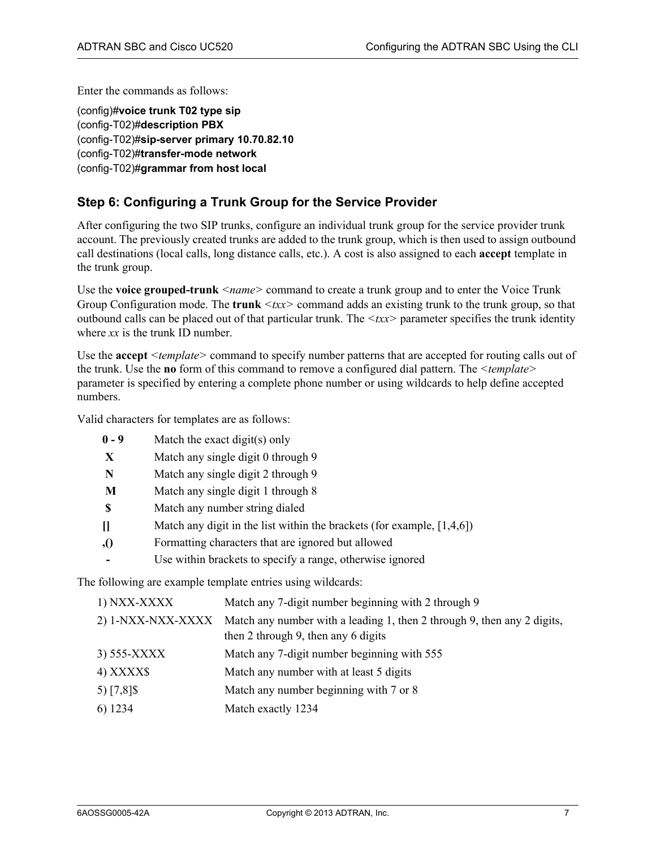Enter the commands as follows:

(config)#**voice trunk T02 type sip** (config-T02)#**description PBX** (config-T02)#**sip-server primary 10.70.82.10** (config-T02)#**transfer-mode network** (config-T02)#**grammar from host local**

#### <span id="page-6-0"></span>**Step 6: Configuring a Trunk Group for the Service Provider**

After configuring the two SIP trunks, configure an individual trunk group for the service provider trunk account. The previously created trunks are added to the trunk group, which is then used to assign outbound call destinations (local calls, long distance calls, etc.). A cost is also assigned to each **accept** template in the trunk group.

Use the **voice grouped-trunk** *<name>* command to create a trunk group and to enter the Voice Trunk Group Configuration mode. The **trunk**  $\langle txx \rangle$  command adds an existing trunk to the trunk group, so that outbound calls can be placed out of that particular trunk. The *<txx>* parameter specifies the trunk identity where *xx* is the trunk ID number.

Use the **accept** *<template>* command to specify number patterns that are accepted for routing calls out of the trunk. Use the **no** form of this command to remove a configured dial pattern. The *<template>* parameter is specified by entering a complete phone number or using wildcards to help define accepted numbers.

Valid characters for templates are as follows:

- **0 9** Match the exact digit(s) only
- **X** Match any single digit 0 through 9
- **N** Match any single digit 2 through 9
- **M** Match any single digit 1 through 8
- **\$** Match any number string dialed
- **[]** Match any digit in the list within the brackets (for example, [1,4,6])
- **,()** Formatting characters that are ignored but allowed
- Use within brackets to specify a range, otherwise ignored

The following are example template entries using wildcards:

| 1) NXX-XXXX       | Match any 7-digit number beginning with 2 through 9                                                            |
|-------------------|----------------------------------------------------------------------------------------------------------------|
| 2) 1-NXX-NXX-XXXX | Match any number with a leading 1, then 2 through 9, then any 2 digits,<br>then 2 through 9, then any 6 digits |
| 3) 555-XXXX       | Match any 7-digit number beginning with 555                                                                    |
| 4) XXXX\$         | Match any number with at least 5 digits                                                                        |
| 5) $[7,8]$ \$     | Match any number beginning with 7 or 8                                                                         |
| 6) 1234           | Match exactly 1234                                                                                             |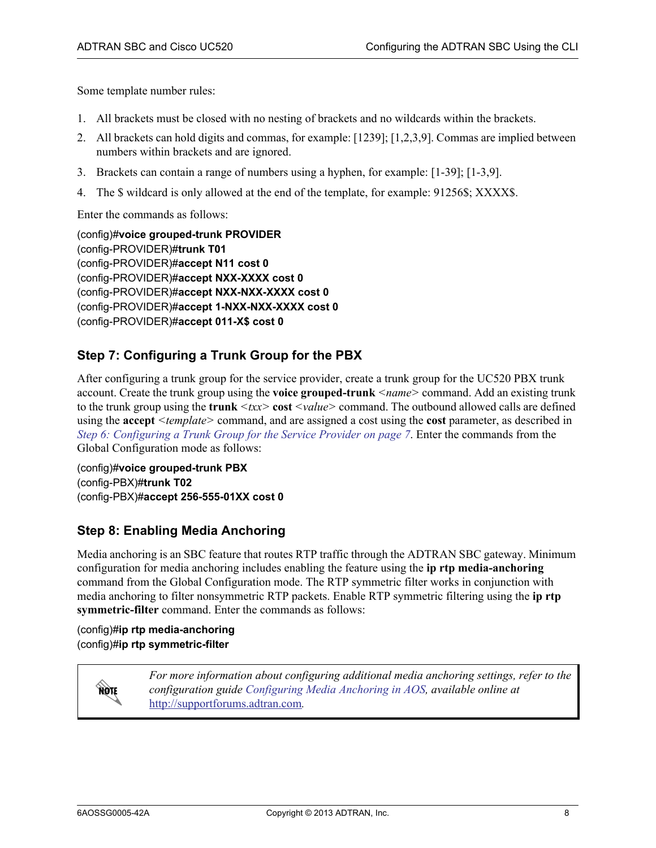Some template number rules:

- 1. All brackets must be closed with no nesting of brackets and no wildcards within the brackets.
- 2. All brackets can hold digits and commas, for example: [1239]; [1,2,3,9]. Commas are implied between numbers within brackets and are ignored.
- 3. Brackets can contain a range of numbers using a hyphen, for example: [1-39]; [1-3,9].
- 4. The \$ wildcard is only allowed at the end of the template, for example: 91256\$; XXXX\$.

Enter the commands as follows:

(config)#**voice grouped-trunk PROVIDER** (config-PROVIDER)#**trunk T01** (config-PROVIDER)#**accept N11 cost 0** (config-PROVIDER)#**accept NXX-XXXX cost 0** (config-PROVIDER)#**accept NXX-NXX-XXXX cost 0** (config-PROVIDER)#**accept 1-NXX-NXX-XXXX cost 0** (config-PROVIDER)#**accept 011-X\$ cost 0**

### <span id="page-7-0"></span>**Step 7: Configuring a Trunk Group for the PBX**

After configuring a trunk group for the service provider, create a trunk group for the UC520 PBX trunk account. Create the trunk group using the **voice grouped-trunk** *<name>* command. Add an existing trunk to the trunk group using the **trunk**  $\langle tx \rangle$  cost  $\langle value \rangle$  command. The outbound allowed calls are defined using the **accept** *<template>* command, and are assigned a cost using the **cost** parameter, as described in *[Step 6: Configuring a Trunk Group for the Service Provider on page 7](#page-6-0)*. Enter the commands from the Global Configuration mode as follows:

(config)#**voice grouped-trunk PBX** (config-PBX)#**trunk T02** (config-PBX)#**accept 256-555-01XX cost 0**

#### <span id="page-7-1"></span>**Step 8: Enabling Media Anchoring**

Media anchoring is an SBC feature that routes RTP traffic through the ADTRAN SBC gateway. Minimum configuration for media anchoring includes enabling the feature using the **ip rtp media-anchoring** command from the Global Configuration mode. The RTP symmetric filter works in conjunction with media anchoring to filter nonsymmetric RTP packets. Enable RTP symmetric filtering using the **ip rtp symmetric-filter** command. Enter the commands as follows:

(config)#**ip rtp media-anchoring** (config)#**ip rtp symmetric-filter**

> *For more information about configuring additional media anchoring settings, refer to the configuration guide [Configuring Media Anchoring in AOS](https://supportforums.adtran.com/docs/DOC-5030), available online at*  [http://supportforums.adtran.com](https://supportforums.adtran.com/welcome)*.*

**MOIF**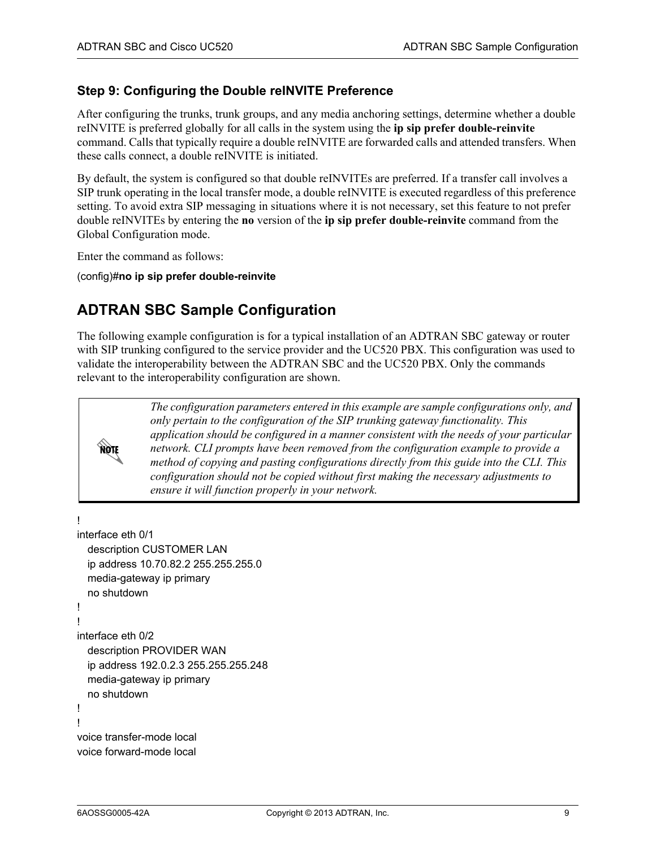#### <span id="page-8-1"></span>**Step 9: Configuring the Double reINVITE Preference**

After configuring the trunks, trunk groups, and any media anchoring settings, determine whether a double reINVITE is preferred globally for all calls in the system using the **ip sip prefer double-reinvite** command. Calls that typically require a double reINVITE are forwarded calls and attended transfers. When these calls connect, a double reINVITE is initiated.

By default, the system is configured so that double reINVITEs are preferred. If a transfer call involves a SIP trunk operating in the local transfer mode, a double reINVITE is executed regardless of this preference setting. To avoid extra SIP messaging in situations where it is not necessary, set this feature to not prefer double reINVITEs by entering the **no** version of the **ip sip prefer double-reinvite** command from the Global Configuration mode.

Enter the command as follows:

(config)#**no ip sip prefer double-reinvite**

### <span id="page-8-0"></span>**ADTRAN SBC Sample Configuration**

The following example configuration is for a typical installation of an ADTRAN SBC gateway or router with SIP trunking configured to the service provider and the UC520 PBX. This configuration was used to validate the interoperability between the ADTRAN SBC and the UC520 PBX. Only the commands relevant to the interoperability configuration are shown.



*The configuration parameters entered in this example are sample configurations only, and only pertain to the configuration of the SIP trunking gateway functionality. This application should be configured in a manner consistent with the needs of your particular network. CLI prompts have been removed from the configuration example to provide a method of copying and pasting configurations directly from this guide into the CLI. This configuration should not be copied without first making the necessary adjustments to ensure it will function properly in your network.*

```
!
interface eth 0/1
  description CUSTOMER LAN
  ip address 10.70.82.2 255.255.255.0
  media-gateway ip primary
  no shutdown
!
!
interface eth 0/2
  description PROVIDER WAN
  ip address 192.0.2.3 255.255.255.248
  media-gateway ip primary
  no shutdown
!
!
voice transfer-mode local
voice forward-mode local
```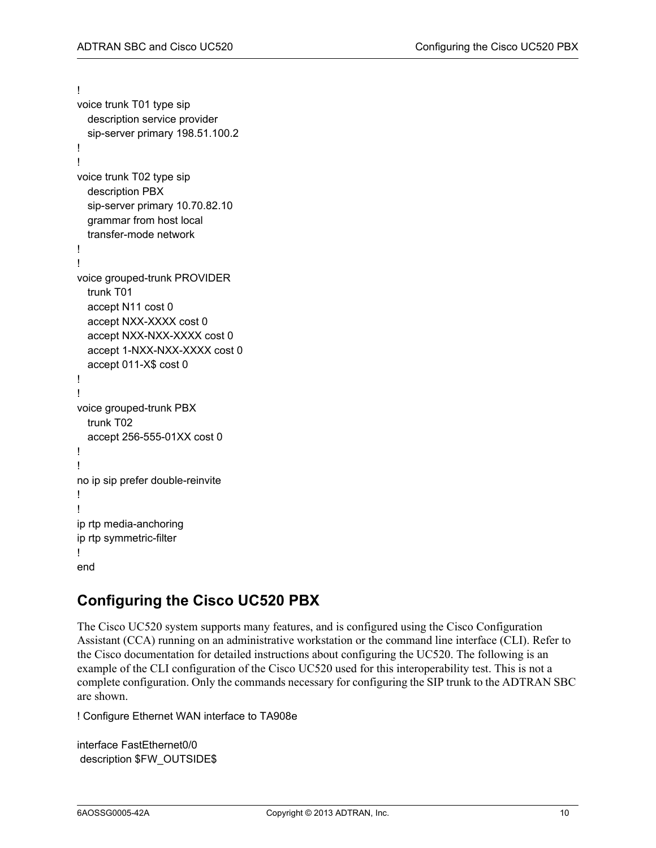```
!
voice trunk T01 type sip
  description service provider
  sip-server primary 198.51.100.2
!
!
voice trunk T02 type sip
  description PBX
  sip-server primary 10.70.82.10
  grammar from host local
  transfer-mode network
!
!
voice grouped-trunk PROVIDER
 trunk T01
  accept N11 cost 0
  accept NXX-XXXX cost 0
  accept NXX-NXX-XXXX cost 0
  accept 1-NXX-NXX-XXXX cost 0
  accept 011-X$ cost 0
!
!
voice grouped-trunk PBX
 trunk T02
  accept 256-555-01XX cost 0
!
!
no ip sip prefer double-reinvite
!
!
ip rtp media-anchoring
ip rtp symmetric-filter
!
end
```
# <span id="page-9-0"></span>**Configuring the Cisco UC520 PBX**

The Cisco UC520 system supports many features, and is configured using the Cisco Configuration Assistant (CCA) running on an administrative workstation or the command line interface (CLI). Refer to the Cisco documentation for detailed instructions about configuring the UC520. The following is an example of the CLI configuration of the Cisco UC520 used for this interoperability test. This is not a complete configuration. Only the commands necessary for configuring the SIP trunk to the ADTRAN SBC are shown.

! Configure Ethernet WAN interface to TA908e

interface FastEthernet0/0 description \$FW\_OUTSIDE\$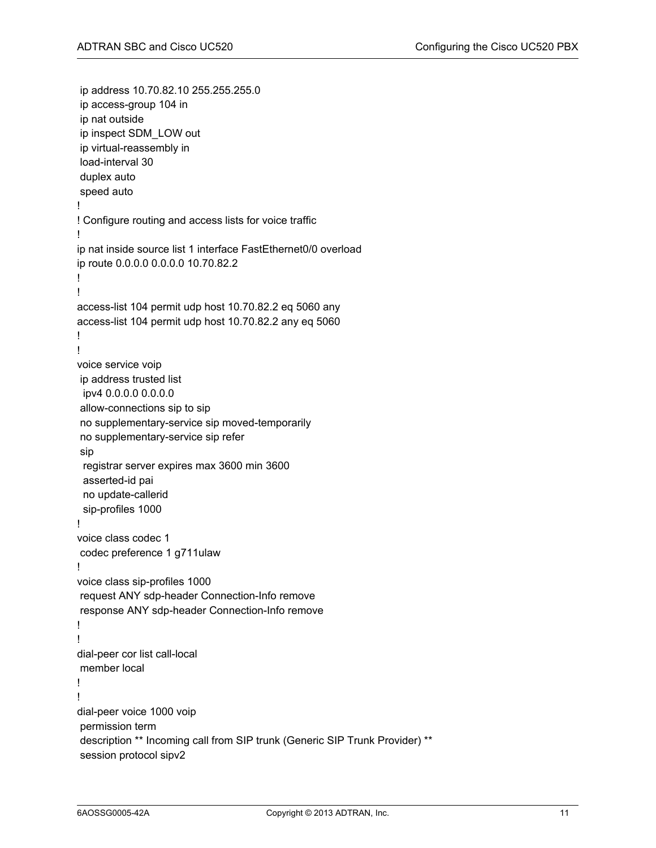```
 ip address 10.70.82.10 255.255.255.0
 ip access-group 104 in
 ip nat outside
 ip inspect SDM_LOW out
 ip virtual-reassembly in
 load-interval 30
 duplex auto
 speed auto
!
! Configure routing and access lists for voice traffic
!
ip nat inside source list 1 interface FastEthernet0/0 overload
ip route 0.0.0.0 0.0.0.0 10.70.82.2
!
!
access-list 104 permit udp host 10.70.82.2 eq 5060 any
access-list 104 permit udp host 10.70.82.2 any eq 5060
!
!
voice service voip
 ip address trusted list
  ipv4 0.0.0.0 0.0.0.0
 allow-connections sip to sip
 no supplementary-service sip moved-temporarily
 no supplementary-service sip refer
 sip
  registrar server expires max 3600 min 3600
  asserted-id pai
  no update-callerid
  sip-profiles 1000
!
voice class codec 1
 codec preference 1 g711ulaw
!
voice class sip-profiles 1000
 request ANY sdp-header Connection-Info remove
 response ANY sdp-header Connection-Info remove
!
!
dial-peer cor list call-local
 member local
!
!
dial-peer voice 1000 voip
 permission term
 description ** Incoming call from SIP trunk (Generic SIP Trunk Provider) **
 session protocol sipv2
```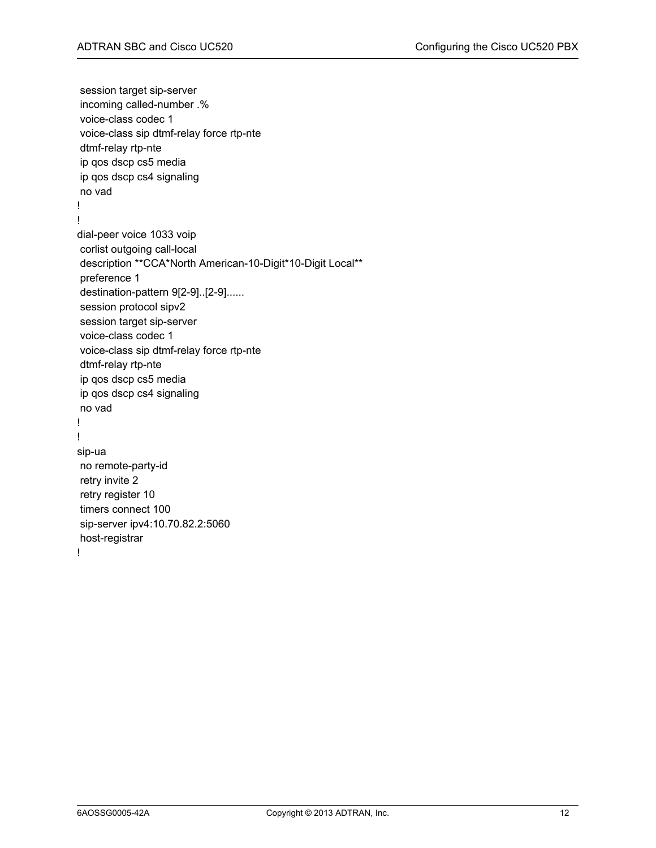session target sip-server incoming called-number .% voice-class codec 1 voice-class sip dtmf-relay force rtp-nte dtmf-relay rtp-nte ip qos dscp cs5 media ip qos dscp cs4 signaling no vad ! ! dial-peer voice 1033 voip corlist outgoing call-local description \*\*CCA\*North American-10-Digit\*10-Digit Local\*\* preference 1 destination-pattern 9[2-9]..[2-9]...... session protocol sipv2 session target sip-server voice-class codec 1 voice-class sip dtmf-relay force rtp-nte dtmf-relay rtp-nte ip qos dscp cs5 media ip qos dscp cs4 signaling no vad ! ! sip-ua no remote-party-id retry invite 2 retry register 10 timers connect 100 sip-server ipv4:10.70.82.2:5060 host-registrar !